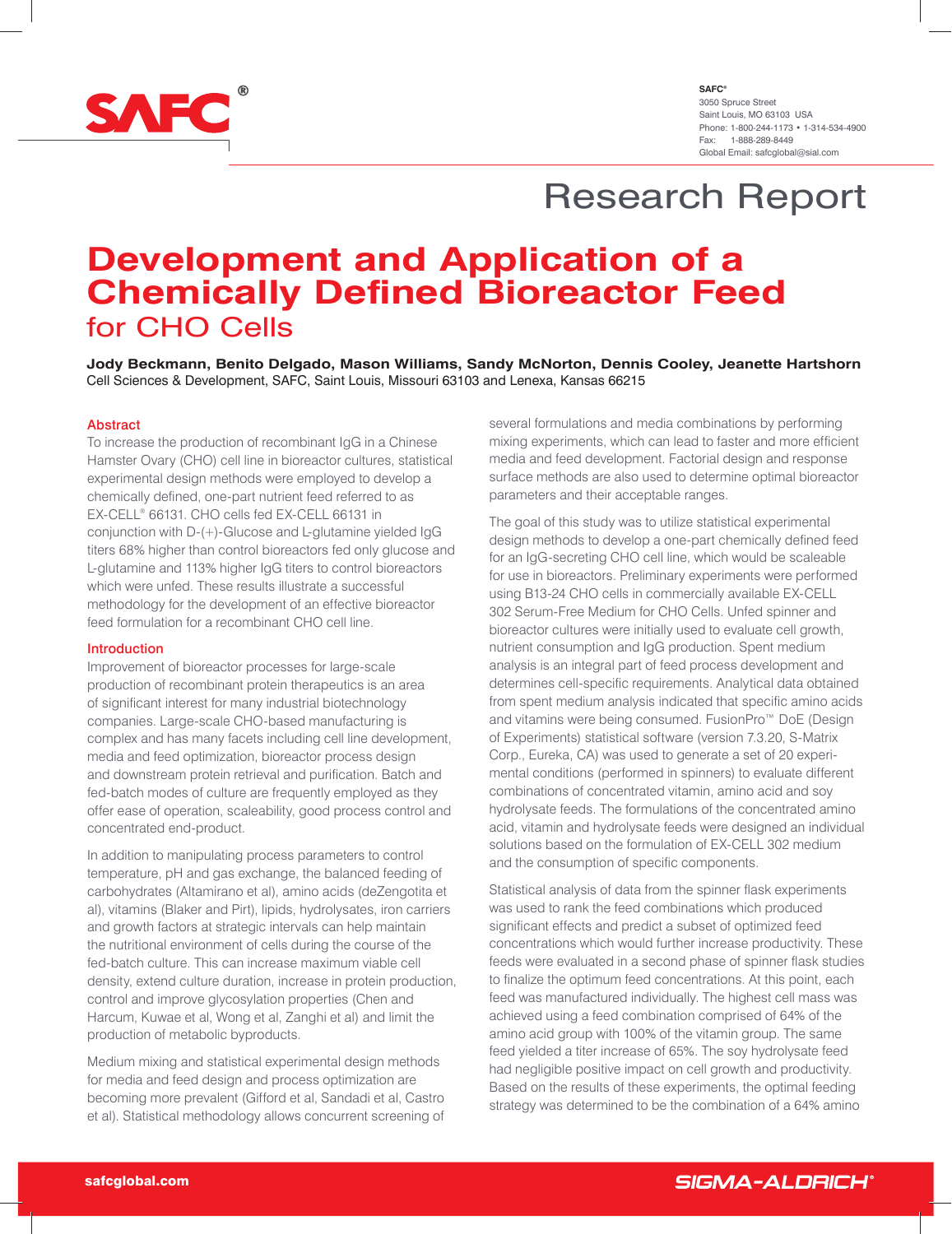

# Research Report

# **Development and Application of a Chemically Defined Bioreactor Feed** for CHO Cells

**Jody Beckmann, Benito Delgado, Mason Williams, Sandy McNorton, Dennis Cooley, Jeanette Hartshorn** Cell Sciences & Development, SAFC, Saint Louis, Missouri 63103 and Lenexa, Kansas 66215

### Abstract

To increase the production of recombinant IgG in a Chinese Hamster Ovary (CHO) cell line in bioreactor cultures, statistical experimental design methods were employed to develop a chemically defined, one-part nutrient feed referred to as EX-CELL® 66131. CHO cells fed EX-CELL 66131 in conjunction with D-(+)-Glucose and L-glutamine yielded IgG titers 68% higher than control bioreactors fed only glucose and L-glutamine and 113% higher IgG titers to control bioreactors which were unfed. These results illustrate a successful methodology for the development of an effective bioreactor feed formulation for a recombinant CHO cell line.

### Introduction

Improvement of bioreactor processes for large-scale production of recombinant protein therapeutics is an area of significant interest for many industrial biotechnology companies. Large-scale CHO-based manufacturing is complex and has many facets including cell line development, media and feed optimization, bioreactor process design and downstream protein retrieval and purification. Batch and fed-batch modes of culture are frequently employed as they offer ease of operation, scaleability, good process control and concentrated end-product.

In addition to manipulating process parameters to control temperature, pH and gas exchange, the balanced feeding of carbohydrates (Altamirano et al), amino acids (deZengotita et al), vitamins (Blaker and Pirt), lipids, hydrolysates, iron carriers and growth factors at strategic intervals can help maintain the nutritional environment of cells during the course of the fed-batch culture. This can increase maximum viable cell density, extend culture duration, increase in protein production, control and improve glycosylation properties (Chen and Harcum, Kuwae et al, Wong et al, Zanghi et al) and limit the production of metabolic byproducts.

Medium mixing and statistical experimental design methods for media and feed design and process optimization are becoming more prevalent (Gifford et al, Sandadi et al, Castro et al). Statistical methodology allows concurrent screening of

several formulations and media combinations by performing mixing experiments, which can lead to faster and more efficient media and feed development. Factorial design and response surface methods are also used to determine optimal bioreactor parameters and their acceptable ranges.

The goal of this study was to utilize statistical experimental design methods to develop a one-part chemically defined feed for an IgG-secreting CHO cell line, which would be scaleable for use in bioreactors. Preliminary experiments were performed using B13-24 CHO cells in commercially available EX-CELL 302 Serum-Free Medium for CHO Cells. Unfed spinner and bioreactor cultures were initially used to evaluate cell growth, nutrient consumption and IgG production. Spent medium analysis is an integral part of feed process development and determines cell-specific requirements. Analytical data obtained from spent medium analysis indicated that specific amino acids and vitamins were being consumed. FusionPro™ DoE (Design of Experiments) statistical software (version 7.3.20, S-Matrix Corp., Eureka, CA) was used to generate a set of 20 experimental conditions (performed in spinners) to evaluate different combinations of concentrated vitamin, amino acid and soy hydrolysate feeds. The formulations of the concentrated amino acid, vitamin and hydrolysate feeds were designed an individual solutions based on the formulation of EX-CELL 302 medium and the consumption of specific components.

Statistical analysis of data from the spinner flask experiments was used to rank the feed combinations which produced significant effects and predict a subset of optimized feed concentrations which would further increase productivity. These feeds were evaluated in a second phase of spinner flask studies to finalize the optimum feed concentrations. At this point, each feed was manufactured individually. The highest cell mass was achieved using a feed combination comprised of 64% of the amino acid group with 100% of the vitamin group. The same feed yielded a titer increase of 65%. The soy hydrolysate feed had negligible positive impact on cell growth and productivity. Based on the results of these experiments, the optimal feeding strategy was determined to be the combination of a 64% amino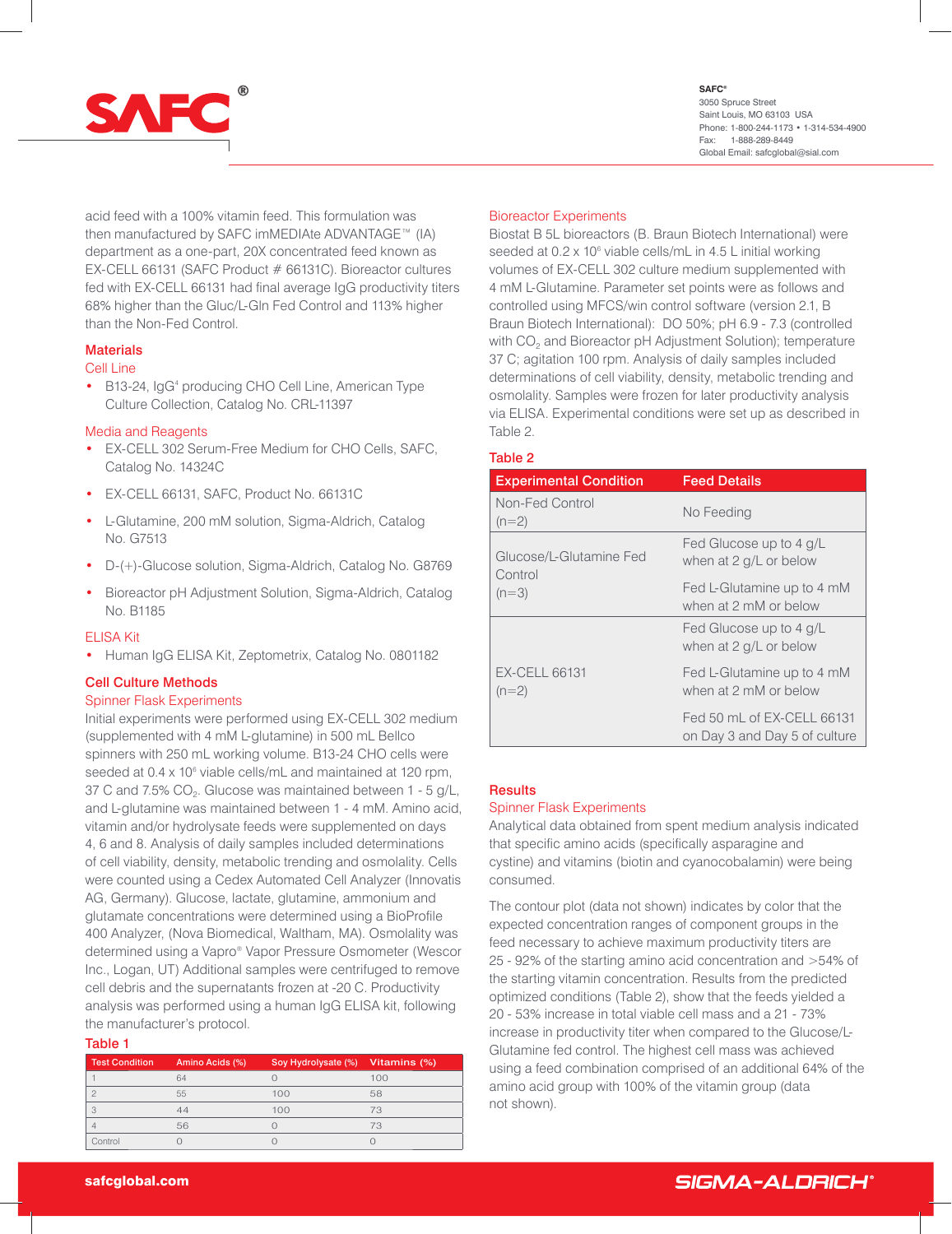

**SAFC**®

3050 Spruce Street Saint Louis, MO 63103 USA Phone: 1-800-244-1173 • 1-314-534-4900 Fax: 1-888-289-8449 Global Email: safcglobal@sial.com

acid feed with a 100% vitamin feed. This formulation was then manufactured by SAFC imMEDIAte ADVANTAGE™ (IA) department as a one-part, 20X concentrated feed known as EX-CELL 66131 (SAFC Product # 66131C). Bioreactor cultures fed with EX-CELL 66131 had final average IgG productivity titers 68% higher than the Gluc/L-Gln Fed Control and 113% higher than the Non-Fed Control.

### **Materials**

### Cell Line

• B13-24, IgG<sup>4</sup> producing CHO Cell Line, American Type Culture Collection, Catalog No. CRL-11397

### Media and Reagents

- EX-CELL 302 Serum-Free Medium for CHO Cells, SAFC, Catalog No. 14324C
- EX-CELL 66131, SAFC, Product No. 66131C
- L-Glutamine, 200 mM solution, Sigma-Aldrich, Catalog No. G7513
- D-(+)-Glucose solution, Sigma-Aldrich, Catalog No. G8769
- Bioreactor pH Adjustment Solution, Sigma-Aldrich, Catalog No. B1185

### ELISA Kit

• Human IgG ELISA Kit, Zeptometrix, Catalog No. 0801182

### Cell Culture Methods

### Spinner Flask Experiments

Initial experiments were performed using EX-CELL 302 medium (supplemented with 4 mM L-glutamine) in 500 mL Bellco spinners with 250 mL working volume. B13-24 CHO cells were seeded at 0.4 x 10<sup>6</sup> viable cells/mL and maintained at 120 rpm, 37 C and 7.5% CO<sub>2</sub>. Glucose was maintained between 1 - 5 g/L, and L-glutamine was maintained between 1 - 4 mM. Amino acid, vitamin and/or hydrolysate feeds were supplemented on days 4, 6 and 8. Analysis of daily samples included determinations of cell viability, density, metabolic trending and osmolality. Cells were counted using a Cedex Automated Cell Analyzer (Innovatis AG, Germany). Glucose, lactate, glutamine, ammonium and glutamate concentrations were determined using a BioProfile 400 Analyzer, (Nova Biomedical, Waltham, MA). Osmolality was determined using a Vapro® Vapor Pressure Osmometer (Wescor Inc., Logan, UT) Additional samples were centrifuged to remove cell debris and the supernatants frozen at -20 C. Productivity analysis was performed using a human IgG ELISA kit, following the manufacturer's protocol.

### Table 1

| <b>Test Condition</b> | Amino Acids (%) | Soy Hydrolysate (%) Vitamins (%) |     |
|-----------------------|-----------------|----------------------------------|-----|
|                       | 64              |                                  | 100 |
|                       | 55              | 100                              | 58  |
|                       |                 | 100                              | 73  |
|                       | 56              |                                  | 73  |
|                       |                 |                                  |     |

### Bioreactor Experiments

Biostat B 5L bioreactors (B. Braun Biotech International) were seeded at 0.2 x 10<sup>6</sup> viable cells/mL in 4.5 L initial working volumes of EX-CELL 302 culture medium supplemented with 4 mM L-Glutamine. Parameter set points were as follows and controlled using MFCS/win control software (version 2.1, B Braun Biotech International): DO 50%; pH 6.9 - 7.3 (controlled with CO<sub>2</sub> and Bioreactor pH Adjustment Solution); temperature 37 C; agitation 100 rpm. Analysis of daily samples included determinations of cell viability, density, metabolic trending and osmolality. Samples were frozen for later productivity analysis via ELISA. Experimental conditions were set up as described in Table 2.

### Table 2

| <b>Experimental Condition</b>      | <b>Feed Details</b>                                         |  |
|------------------------------------|-------------------------------------------------------------|--|
| Non-Fed Control<br>$(n=2)$         | No Feeding                                                  |  |
| Glucose/L-Glutamine Fed<br>Control | Fed Glucose up to 4 g/L<br>when at 2 g/L or below           |  |
| $(n=3)$                            | Fed L-Glutamine up to 4 mM<br>when at 2 mM or below         |  |
|                                    | Fed Glucose up to 4 g/L<br>when at 2 g/L or below           |  |
| <b>EX-CELL 66131</b><br>$(n=2)$    | Fed L-Glutamine up to 4 mM<br>when at 2 mM or below         |  |
|                                    | Fed 50 mL of FX-CFLL 66131<br>on Day 3 and Day 5 of culture |  |

### **Results**

### Spinner Flask Experiments

Analytical data obtained from spent medium analysis indicated that specific amino acids (specifically asparagine and cystine) and vitamins (biotin and cyanocobalamin) were being consumed.

The contour plot (data not shown) indicates by color that the expected concentration ranges of component groups in the feed necessary to achieve maximum productivity titers are 25 - 92% of the starting amino acid concentration and >54% of the starting vitamin concentration. Results from the predicted optimized conditions (Table 2), show that the feeds yielded a 20 - 53% increase in total viable cell mass and a 21 - 73% increase in productivity titer when compared to the Glucose/L-Glutamine fed control. The highest cell mass was achieved using a feed combination comprised of an additional 64% of the amino acid group with 100% of the vitamin group (data not shown).

## SIGMA-ALDRICH®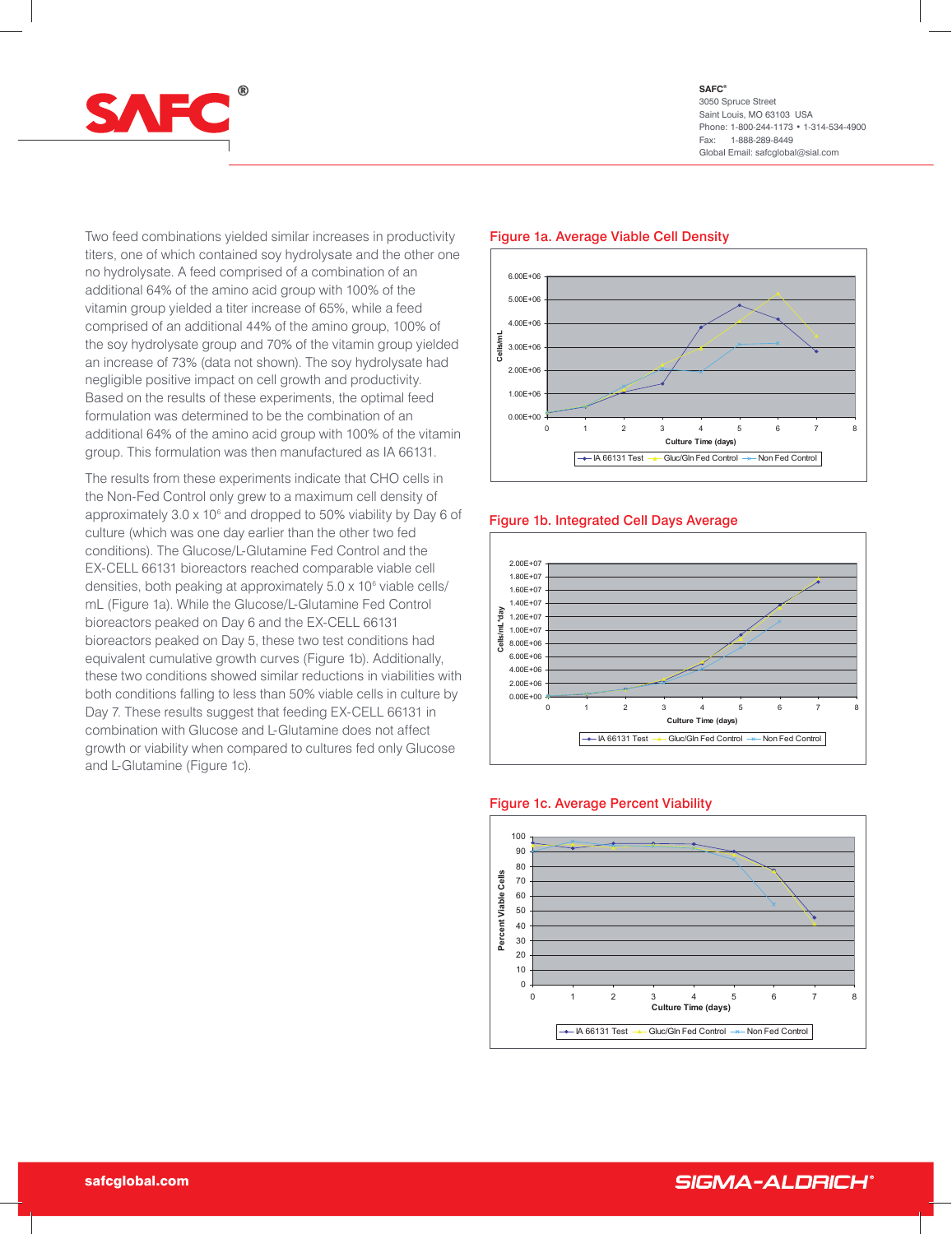

Two feed combinations yielded similar increases in productivity titers, one of which contained soy hydrolysate and the other one no hydrolysate. A feed comprised of a combination of an additional 64% of the amino acid group with 100% of the vitamin group yielded a titer increase of 65%, while a feed comprised of an additional 44% of the amino group, 100% of the soy hydrolysate group and 70% of the vitamin group yielded an increase of 73% (data not shown). The soy hydrolysate had negligible positive impact on cell growth and productivity. Based on the results of these experiments, the optimal feed formulation was determined to be the combination of an additional 64% of the amino acid group with 100% of the vitamin group. This formulation was then manufactured as IA 66131.

The results from these experiments indicate that CHO cells in the Non-Fed Control only grew to a maximum cell density of approximately 3.0 x 10<sup>6</sup> and dropped to 50% viability by Day 6 of culture (which was one day earlier than the other two fed conditions). The Glucose/L-Glutamine Fed Control and the EX-CELL 66131 bioreactors reached comparable viable cell densities, both peaking at approximately 5.0 x 10<sup>6</sup> viable cells/ mL (Figure 1a). While the Glucose/L-Glutamine Fed Control bioreactors peaked on Day 6 and the EX-CELL 66131 bioreactors peaked on Day 5, these two test conditions had equivalent cumulative growth curves (Figure 1b). Additionally, these two conditions showed similar reductions in viabilities with both conditions falling to less than 50% viable cells in culture by Day 7. These results suggest that feeding EX-CELL 66131 in combination with Glucose and L-Glutamine does not affect growth or viability when compared to cultures fed only Glucose and L-Glutamine (Figure 1c).

### 0.00E+00 1.00E+06 2.00E+06 3.00E+06 4.00E+06 5.00E+06 6.00E+06 012345678 **Culture Time (days) Cells/mL** ← IA 66131 Test –← Gluc/Gln Fed Control –← Non Fed Control

### Figure 1a. Average Viable Cell Density

### Figure 1b. Integrated Cell Days Average





### Figure 1c. Average Percent Viability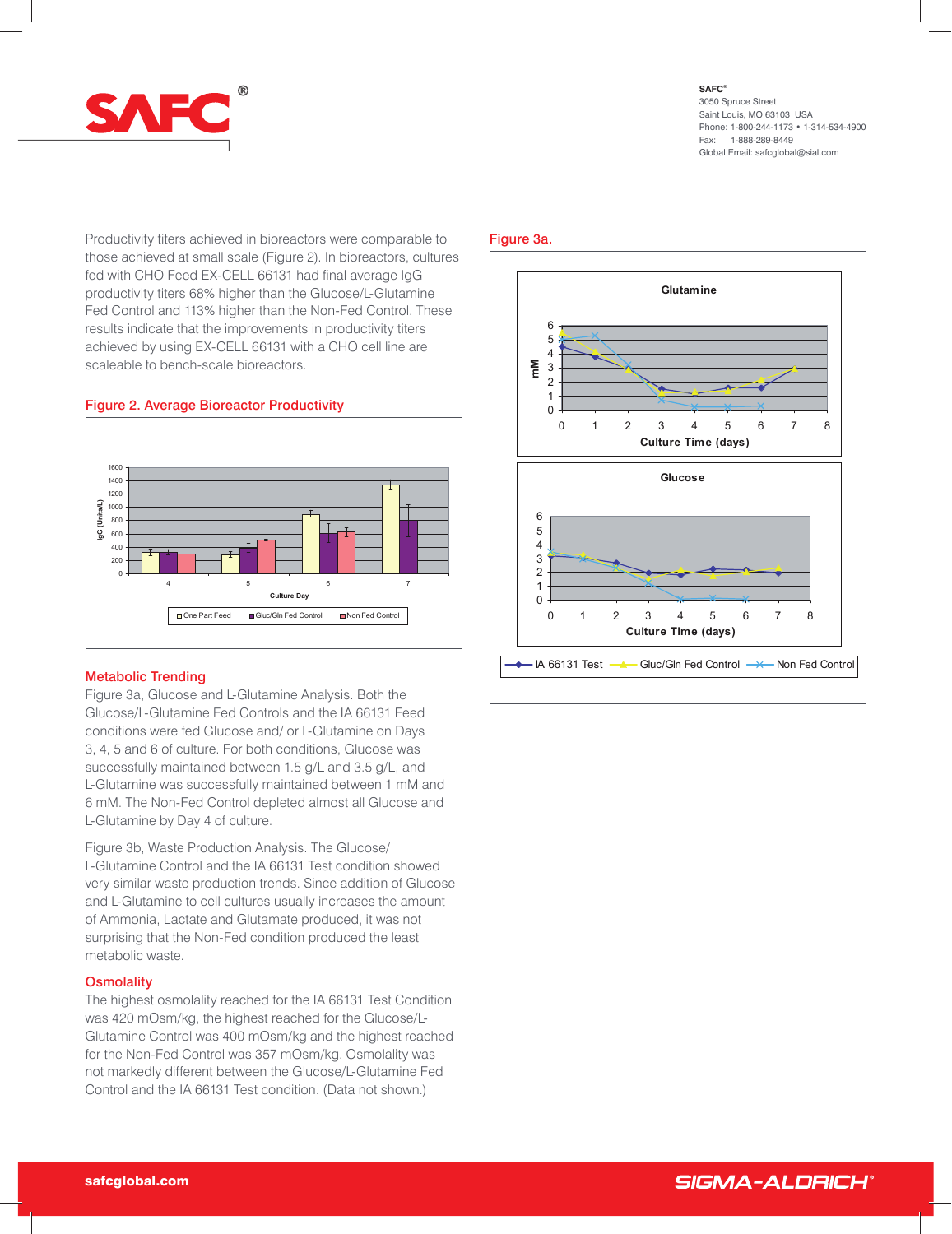

Productivity titers achieved in bioreactors were comparable to those achieved at small scale (Figure 2). In bioreactors, cultures fed with CHO Feed EX-CELL 66131 had final average IgG productivity titers 68% higher than the Glucose/L-Glutamine Fed Control and 113% higher than the Non-Fed Control. These results indicate that the improvements in productivity titers achieved by using EX-CELL 66131 with a CHO cell line are scaleable to bench-scale bioreactors.

### Figure 2. Average Bioreactor Productivity



### Metabolic Trending

Figure 3a, Glucose and L-Glutamine Analysis. Both the Glucose/L-Glutamine Fed Controls and the IA 66131 Feed conditions were fed Glucose and/ or L-Glutamine on Days 3, 4, 5 and 6 of culture. For both conditions, Glucose was successfully maintained between 1.5 g/L and 3.5 g/L, and L-Glutamine was successfully maintained between 1 mM and 6 mM. The Non-Fed Control depleted almost all Glucose and L-Glutamine by Day 4 of culture.

Figure 3b, Waste Production Analysis. The Glucose/ L-Glutamine Control and the IA 66131 Test condition showed very similar waste production trends. Since addition of Glucose and L-Glutamine to cell cultures usually increases the amount of Ammonia, Lactate and Glutamate produced, it was not surprising that the Non-Fed condition produced the least metabolic waste.

### **Osmolality**

The highest osmolality reached for the IA 66131 Test Condition was 420 mOsm/kg, the highest reached for the Glucose/L-Glutamine Control was 400 mOsm/kg and the highest reached for the Non-Fed Control was 357 mOsm/kg. Osmolality was not markedly different between the Glucose/L-Glutamine Fed Control and the IA 66131 Test condition. (Data not shown.)